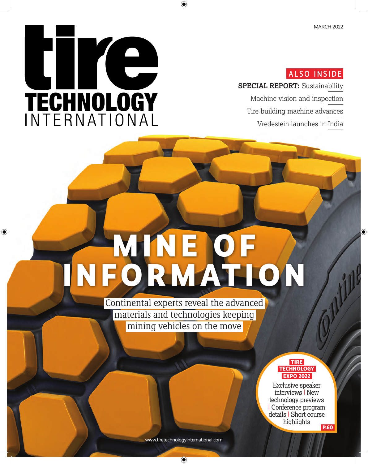# ALSO INSIDE

 $\overline{\phantom{a}}$ TECHNOLOGY

**SPECIAL REPORT:** Sustainability Machine vision and inspection

Tire building machine advances Vredestein launches in India

# **NE INFORMATION**

Continental experts reveal the advanced materials and technologies keeping mining vehicles on the move

### **TIRE TECHNOLOGY EXPO 2022**

Exclusive speaker interviews | New technology previews | Conference program details | Short course highlights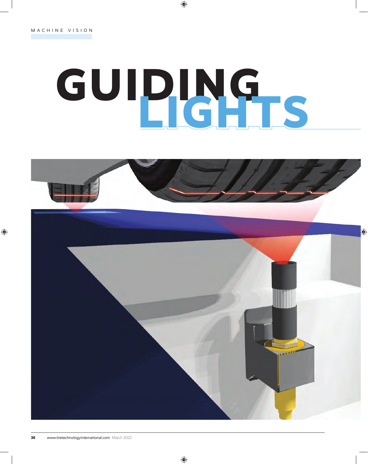# **GUIDING LIGHTS**

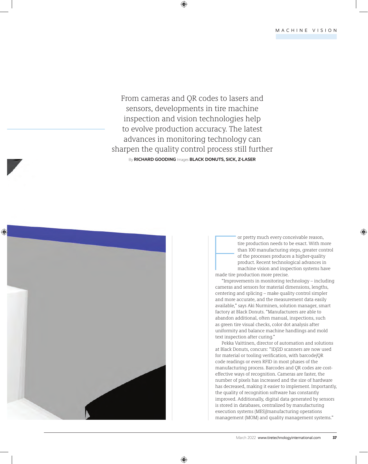From cameras and QR codes to lasers and sensors, developments in tire machine inspection and vision technologies help to evolve production accuracy. The latest advances in monitoring technology can sharpen the quality control process still further By **RICHARD GOODING** Images **BLACK DONUTS, SICK, Z-LASER**



made tire or pretty much every conceivable reason, tire production needs to be exact. With more than 100 manufacturing steps, greater control of the processes produces a higher-quality product. Recent technological advances in machine vision and inspection systems have made tire production more precise.

"Improvements in monitoring technology – including cameras and sensors for material dimensions, lengths, centering and splicing – make quality control simpler and more accurate, and the measurement data easily available," says Aki Nurminen, solution manager, smart factory at Black Donuts. "Manufacturers are able to abandon additional, often manual, inspections, such as green tire visual checks, color dot analysis after uniformity and balance machine handlings and mold text inspection after curing."

Pekka Vaittinen, director of automation and solutions at Black Donuts, concurs: "1D/2D scanners are now used for material or tooling verification, with barcode/QR code readings or even RFID in most phases of the manufacturing process. Barcodes and QR codes are costeffective ways of recognition. Cameras are faster, the number of pixels has increased and the size of hardware has decreased, making it easier to implement. Importantly, the quality of recognition software has constantly improved. Additionally, digital data generated by sensors is stored in databases, centralized by manufacturing execution systems (MES)/manufacturing operations management (MOM) and quality management systems."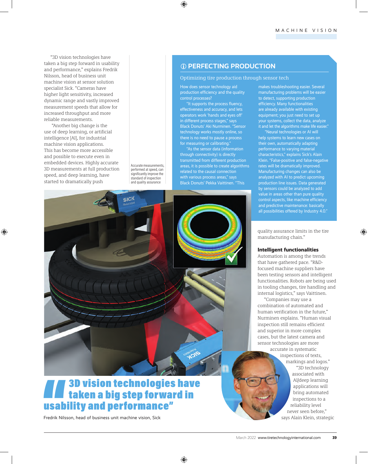"3D vision technologies have taken a big step forward in usability and performance," explains Fredrik Nilsson, head of business unit machine vision at sensor solution specialist Sick. "Cameras have higher light sensitivity, increased dynamic range and vastly improved measurement speeds that allow for increased throughput and more reliable measurements.

 "Another big change is the use of deep learning, or artificial intelligence [AI], for industrial machine vision applications. This has become more accessible and possible to execute even in embedded devices. Highly accurate 3D measurements at full production speed, and deep learning, have started to dramatically push

### L**PERFECTING PRODUCTION**

### Optimizing tire production through sensor tech

How does sensor technology aid production efficiency and the quality control processes?

"It supports the process fluency, effectiveness and accuracy, and lets operators work 'hands and eyes off' in different process stages," says Black Donuts' Aki Nurminen. "Sensor technology works mostly online, so there is no need to pause a process for measuring or calibrating."

"As the sensor data (information through connectivity) is directly

transmitted from different production areas, it is possible to create algorithms related to the causal connection with various process areas," says Black Donuts' Pekka Vaittinen. "This Accurate measurements, performed at speed, can significantly improve the standard of inspection and quality assurance

makes troubleshooting easier. Several manufacturing problems will be easier to detect, supporting production efficiency. Many functionalities are already available with existing equipment; you just need to set up your systems, collect the data, analyze it and let the algorithms make life easier."

"Neural technologies or AI will help systems to learn new cases on their own, automatically adapting performance to varying material characteristics," explains Sick's Alain Klein. "False-positive and false-negative rates will be dramatically improved. Manufacturing changes can also be analyzed with AI to predict upcoming production line issues. Data generated by sensors could be analyzed to add value in areas other than pure quality control aspects, like machine efficiency and predictive maintenance: basically all possibilities offered by Industry 4.0."

quality assurance limits in the tire manufacturing chain."

### **Intelligent functionalities**

Automation is among the trends that have gathered pace. "R&Dfocused machine suppliers have been testing sensors and intelligent functionalities. Robots are being used in tooling changes, tire handling and internal logistics," says Vaittinen.

"Companies may use a combination of automated and human verification in the future," Nurminen explains. "Human visual inspection still remains efficient and superior in more complex cases, but the latest camera and sensor technologies are more accurate in systematic

> inspections of texts, markings and logos." "3D technology associated with AI/deep learning applications will bring automated inspections to a reliability level never seen before," says Alain Klein, strategic

**13D vision technologies have<br>
usability and performance"**<br>
Fredrik Nilsson, head of business unit machine vision, Sick taken a big step forward in usability and performance"

SICK

Fredrik Nilsson, head of business unit machine vision, Sick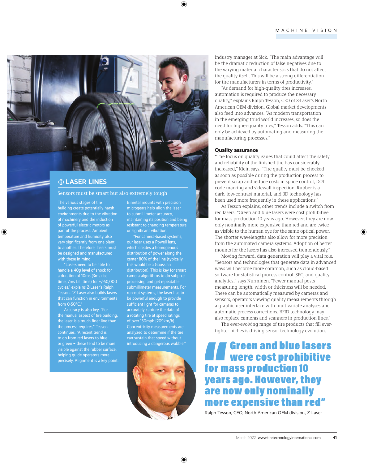

## L**LASER LINES**

### Sensors must be smart but also extremely tough

The various stages of tire building create potentially harsh environments due to the vibration of machinery and the induction of powerful electric motors as part of the process. Ambient temperature and humidity also vary significantly from one plant to another. Therefore, lasers must be designed and manufactured with these in mind.

"Lasers need to be able to handle a 40*g* level of shock for a duration of 10ms (3ms rise time, 7ms fall time) for +/-50,000 cycles," explains Z-Laser's Ralph Tesson. "Z-Laser also builds lasers that can function in environments from 0-50°C.

Accuracy is also key. "For the manual aspect of tire building, the laser is a much finer line than the process requires," Tesson continues. "A recent trend is to go from red lasers to blue or green – these tend to be more visible against the rubber surface, helping guide operators more precisely. Alignment is a key point. Bimetal mounts with precision microgears help align the laser to submillimeter accuracy, maintaining its position and being resistant to changing temperature or significant vibration.

"For camera-based systems, our laser uses a Powell lens, which creates a homogenous distribution of power along the center 80% of the line (typically this would be a Gaussian distribution). This is key for smart camera algorithms to do subpixel processing and get repeatable submillimeter measurements. For run-out systems, the laser has to be powerful enough to provide sufficient light for cameras to accurately capture the data of a rotating tire at speed ratings of over 130mph [209km/h]. Concentricity measurements are analyzed to determine if the tire can sustain that speed without



industry manager at Sick. "The main advantage will be the dramatic reduction of false negatives due to the varying material characteristics that do not affect the quality itself. This will be a strong differentiation for tire manufacturers in terms of productivity."

"As demand for high-quality tires increases, automation is required to produce the necessary quality," explains Ralph Tesson, CEO of Z-Laser's North American OEM division. Global market developments also feed into advances. "As modern transportation in the emerging third world increases, so does the need for higher-quality tires," Tesson adds. "This can only be achieved by automating and measuring the manufacturing processes."

### **Quality assurance**

"The focus on quality issues that could affect the safety and reliability of the finished tire has considerably increased," Klein says. "Tire quality must be checked as soon as possible during the production process to prevent scrap and reduce costs in splice control, DOT code marking and sidewall inspection. Rubber is a dark, low-contrast material, and 3D technology has been used more frequently in these applications."

As Tesson explains, other trends include a switch from red lasers. "Green and blue lasers were cost prohibitive for mass production 10 years ago. However, they are now only nominally more expensive than red and are twice as visible to the human eye for the same optical power. The shorter wavelengths also allow for more precision from the automated camera systems. Adoption of better mounts for the lasers has also increased tremendously."

Moving forward, data generation will play a vital role. "Sensors and technologies that generate data in advanced ways will become more common, such as cloud-based software for statistical process control [SPC] and quality analytics," says Nurminen. "Fewer manual posts measuring length, width or thickness will be needed. These can be automatically measured by cameras and sensors, operators viewing quality measurements through a graphic user interface with multivariate analyses and automatic process corrections. RFID technology may also replace cameras and scanners in production lines." The ever-evolving range of tire products that fill ever-

tighter niches is driving sensor technology evolution.

# Green and blue lasers Were cost prohibitive for mass production 10 years ago. However, they are now only nominally more expensive than red"

Ralph Tesson, CEO, North American OEM division, Z-Laser